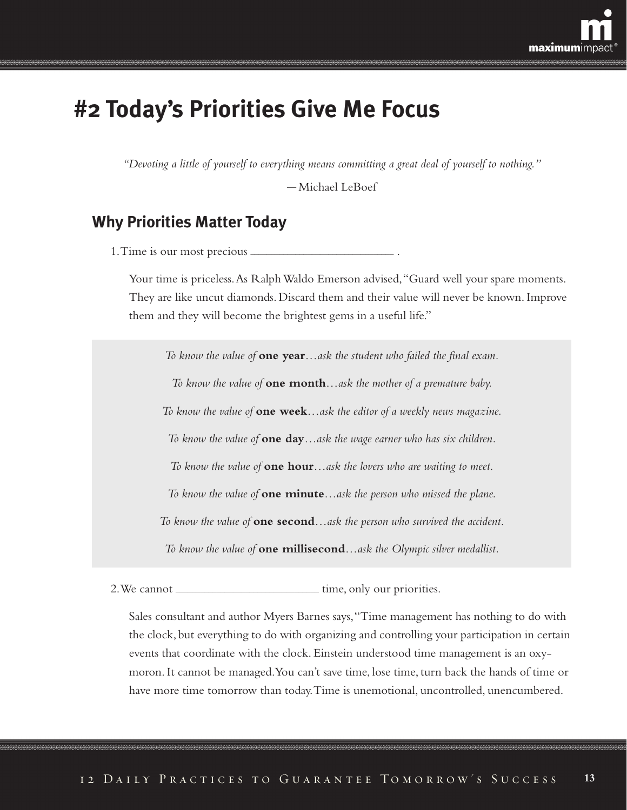

# **#2 Today's Priorities Give Me Focus**

*"Devoting a little of yourself to everything means committing a great deal of yourself to nothing."*

— Michael LeBoef

### **Why Priorities Matter Today**

1. Time is our most precious .

Your time is priceless.As Ralph Waldo Emerson advised,"Guard well your spare moments. They are like uncut diamonds. Discard them and their value will never be known. Improve them and they will become the brightest gems in a useful life."

*To know the value of* **one year***…ask the student who failed the final exam. To know the value of* **one month***…ask the mother of a premature baby. To know the value of* **one week***…ask the editor of a weekly news magazine. To know the value of* **one day***…ask the wage earner who has six children. To know the value of* **one hour***…ask the lovers who are waiting to meet. To know the value of* **one minute***…ask the person who missed the plane. To know the value of* **one second***…ask the person who survived the accident. To know the value of* **one millisecond***…ask the Olympic silver medallist.*

2. We cannot **interest in the initial conduct of the canonical conduct of the canonical conduct of the conduct of the conduct of the conduct of the conduct of the conduct of the conduct of the conduct of the conduct of the** 

Sales consultant and author Myers Barnes says,"Time management has nothing to do with the clock, but everything to do with organizing and controlling your participation in certain events that coordinate with the clock. Einstein understood time management is an oxymoron. It cannot be managed.You can't save time, lose time, turn back the hands of time or have more time tomorrow than today.Time is unemotional, uncontrolled, unencumbered.